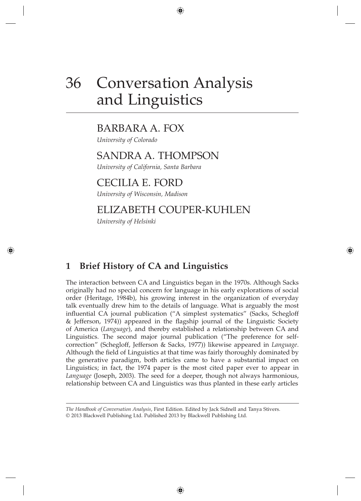# 36 Conversation Analysis and Linguistics

## BARBARA A. FOX

 *University of Colorado* 

# SANDRA A. THOMPSON

 *University of California, Santa Barbara* 

## CECILIA E. FORD

 *University of Wisconsin, Madison* 

## ELIZABETH COUPER - KUHLEN

 *University of Helsinki* 

## **1 Brief History of CA and Linguistics**

 The interaction between CA and Linguistics began in the 1970s. Although Sacks originally had no special concern for language in his early explorations of social order (Heritage, 1984b), his growing interest in the organization of everyday talk eventually drew him to the details of language. What is arguably the most influential CA journal publication ("A simplest systematics" (Sacks, Schegloff & Jefferson, 1974) appeared in the flagship journal of the Linguistic Society of America (*Language*), and thereby established a relationship between CA and Linguistics. The second major journal publication ("The preference for self correction " (Schegloff, Jefferson & Sacks, 1977 )) likewise appeared in *Language* . Although the field of Linguistics at that time was fairly thoroughly dominated by the generative paradigm, both articles came to have a substantial impact on Linguistics; in fact, the 1974 paper is the most cited paper ever to appear in Language (Joseph, 2003). The seed for a deeper, though not always harmonious, relationship between CA and Linguistics was thus planted in these early articles

*The Handbook of Conversation Analysis*, First Edition. Edited by Jack Sidnell and Tanya Stivers. © 2013 Blackwell Publishing Ltd. Published 2013 by Blackwell Publishing Ltd.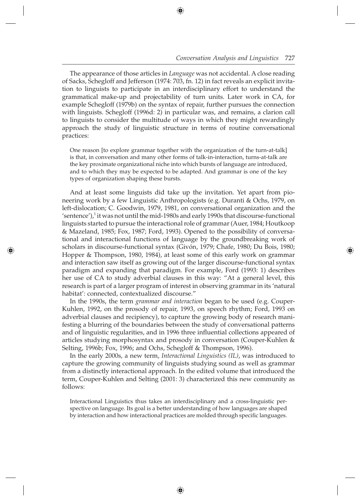The appearance of those articles in *Language* was not accidental. A close reading of Sacks, Schegloff and Jefferson (1974: 703, fn. 12) in fact reveals an explicit invitation to linguists to participate in an interdisciplinary effort to understand the grammatical make-up and projectability of turn units. Later work in CA, for example Schegloff (1979b) on the syntax of repair, further pursues the connection with linguists. Schegloff (1996d: 2) in particular was, and remains, a clarion call to linguists to consider the multitude of ways in which they might rewardingly approach the study of linguistic structure in terms of routine conversational practices:

One reason [to explore grammar together with the organization of the turn-at-talk] is that, in conversation and many other forms of talk-in-interaction, turns-at-talk are the key proximate organizational niche into which bursts of language are introduced, and to which they may be expected to be adapted. And grammar is one of the key types of organization shaping these bursts.

 And at least some linguists did take up the invitation. Yet apart from pioneering work by a few Linguistic Anthropologists (e.g. Duranti & Ochs, 1979 , on left-dislocation; C. Goodwin, 1979, 1981, on conversational organization and the 'sentence'), $^1$  it was not until the mid-1980s and early 1990s that discourse-functional linguists started to pursue the interactional role of grammar (Auer, 1984; Houtkoop & Mazeland, 1985 ; Fox, 1987 ; Ford, 1993 ). Opened to the possibility of conversational and interactional functions of language by the groundbreaking work of scholars in discourse-functional syntax (Givón, 1979; Chafe, 1980; Du Bois, 1980; Hopper & Thompson, 1980, 1984), at least some of this early work on grammar and interaction saw itself as growing out of the larger discourse-functional syntax paradigm and expanding that paradigm. For example, Ford (1993: 1) describes her use of CA to study adverbial clauses in this way: " At a general level, this research is part of a larger program of interest in observing grammar in its ' natural habitat': connected, contextualized discourse."

In the 1990s, the term *grammar and interaction* began to be used (e.g. Couper-Kuhlen, 1992, on the prosody of repair, 1993, on speech rhythm; Ford, 1993 on adverbial clauses and recipiency), to capture the growing body of research manifesting a blurring of the boundaries between the study of conversational patterns and of linguistic regularities, and in 1996 three influential collections appeared of articles studying morphosyntax and prosody in conversation (Couper-Kuhlen & Selting, 1996b; Fox, 1996; and Ochs, Schegloff & Thompson, 1996).

 In the early 2000s, a new term, *Interactional Linguistics (IL)* , was introduced to capture the growing community of linguists studying sound as well as grammar from a distinctly interactional approach. In the edited volume that introduced the term, Couper-Kuhlen and Selting (2001: 3) characterized this new community as follows:

Interactional Linguistics thus takes an interdisciplinary and a cross-linguistic perspective on language. Its goal is a better understanding of how languages are shaped by interaction and how interactional practices are molded through specific languages.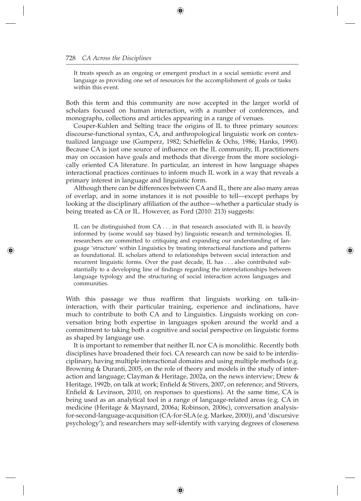It treats speech as an ongoing or emergent product in a social semiotic event and language as providing one set of resources for the accomplishment of goals or tasks within this event.

 Both this term and this community are now accepted in the larger world of scholars focused on human interaction, with a number of conferences, and monographs, collections and articles appearing in a range of venues.

Couper-Kuhlen and Selting trace the origins of IL to three primary sources: discourse-functional syntax, CA, and anthropological linguistic work on contextualized language use (Gumperz, 1982; Schieffelin & Ochs, 1986; Hanks, 1990). Because CA is just one source of influence on the IL community, IL practitioners may on occasion have goals and methods that diverge from the more sociologically oriented CA literature. In particular, an interest in how language shapes interactional practices continues to inform much IL work in a way that reveals a primary interest in language and linguistic form.

 Although there can be differences between CA and IL, there are also many areas of overlap, and in some instances it is not possible to tell — except perhaps by looking at the disciplinary affiliation of the author—whether a particular study is being treated as CA or IL. However, as Ford (2010: 213) suggests:

 IL can be distinguished from CA . . . in that research associated with IL is heavily informed by (some would say biased by) linguistic research and terminologies. IL researchers are committed to critiquing and expanding our understanding of language 'structure' within Linguistics by treating interactional functions and patterns as foundational. IL scholars attend to relationships between social interaction and recurrent linguistic forms. Over the past decade, IL has . . . also contributed substantially to a developing line of findings regarding the interrelationships between language typology and the structuring of social interaction across languages and communities.

With this passage we thus reaffirm that linguists working on talk-ininteraction, with their particular training, experience and inclinations, have much to contribute to both CA and to Linguistics. Linguists working on conversation bring both expertise in languages spoken around the world and a commitment to taking both a cognitive and social perspective on linguistic forms as shaped by language use.

 It is important to remember that neither IL nor CA is monolithic. Recently both disciplines have broadened their foci. CA research can now be said to be interdisciplinary, having multiple interactional domains and using multiple methods (e.g. Browning & Duranti, 2005, on the role of theory and models in the study of interaction and language; Clayman & Heritage, 2002a , on the news interview; Drew & Heritage, 1992b, on talk at work; Enfield & Stivers, 2007, on reference; and Stivers, Enfield  $\&$  Levinson, 2010, on responses to questions). At the same time, CA is being used as an analytical tool in a range of language-related areas (e.g. CA in medicine (Heritage & Maynard, 2006a; Robinson, 2006c), conversation analysisfor-second-language-acquisition (CA-for-SLA (e.g. Markee, 2000)), and 'discursive psychology'); and researchers may self-identify with varying degrees of closeness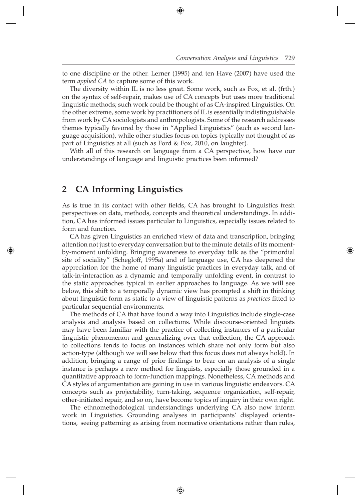to one discipline or the other. Lerner (1995) and ten Have (2007) have used the term *applied CA* to capture some of this work.

 The diversity within IL is no less great. Some work, such as Fox, et al. (frth.) on the syntax of self-repair, makes use of CA concepts but uses more traditional linguistic methods; such work could be thought of as CA - inspired Linguistics. On the other extreme, some work by practitioners of IL is essentially indistinguishable from work by CA sociologists and anthropologists. Some of the research addresses themes typically favored by those in " Applied Linguistics " (such as second language acquisition), while other studies focus on topics typically not thought of as part of Linguistics at all (such as Ford & Fox, 2010, on laughter).

 With all of this research on language from a CA perspective, how have our understandings of language and linguistic practices been informed?

### **2 CA Informing Linguistics**

As is true in its contact with other fields, CA has brought to Linguistics fresh perspectives on data, methods, concepts and theoretical understandings. In addition, CA has informed issues particular to Linguistics, especially issues related to form and function.

 CA has given Linguistics an enriched view of data and transcription, bringing attention not just to everyday conversation but to the minute details of its moment by - moment unfolding. Bringing awareness to everyday talk as the " primordial site of sociality" (Schegloff, 1995a) and of language use, CA has deepened the appreciation for the home of many linguistic practices in everyday talk, and of talk-in-interaction as a dynamic and temporally unfolding event, in contrast to the static approaches typical in earlier approaches to language. As we will see below, this shift to a temporally dynamic view has prompted a shift in thinking about linguistic form as static to a view of linguistic patterns as *practices* fitted to particular sequential environments.

The methods of CA that have found a way into Linguistics include single-case analysis and analysis based on collections. While discourse - oriented linguists may have been familiar with the practice of collecting instances of a particular linguistic phenomenon and generalizing over that collection, the CA approach to collections tends to focus on instances which share not only form but also action-type (although we will see below that this focus does not always hold). In addition, bringing a range of prior findings to bear on an analysis of a single instance is perhaps a new method for linguists, especially those grounded in a quantitative approach to form-function mappings. Nonetheless, CA methods and CA styles of argumentation are gaining in use in various linguistic endeavors. CA concepts such as projectability, turn-taking, sequence organization, self-repair, other - initiated repair, and so on, have become topics of inquiry in their own right.

 The ethnomethodological understandings underlying CA also now inform work in Linguistics. Grounding analyses in participants' displayed orientations, seeing patterning as arising from normative orientations rather than rules,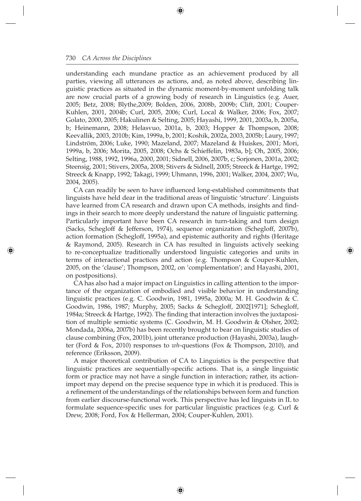understanding each mundane practice as an achievement produced by all parties, viewing all utterances as actions, and, as noted above, describing linguistic practices as situated in the dynamic moment-by-moment unfolding talk are now crucial parts of a growing body of research in Linguistics (e.g. Auer, 2005; Betz, 2008; Blythe, 2009; Bolden, 2006, 2008b, 2009b; Clift, 2001; Couper-Kuhlen, 2001, 2004b; Curl, 2005, 2006; Curl, Local & Walker, 2006; Fox, 2007; Golato, 2000, 2005 ; Hakulinen & Selting, 2005 ; Hayashi, 1999, 2001, 2003a, b, 2005a, b; Heinemann, 2008; Helasvuo, 2001a, b, 2003; Hopper & Thompson, 2008; Keevallik, 2003, 2010b; Kim, 1999a, b, 2001; Koshik, 2002a, 2003, 2005b; Laury, 1997; Lindström, 2006; Luke, 1990; Mazeland, 2007; Mazeland & Huiskes, 2001; Mori, 1999a, b, 2006; Morita, 2005, 2008; Ochs & Schieffelin, 1983a, b]; Oh, 2005, 2006; Selting, 1988, 1992, 1996a, 2000, 2001; Sidnell, 2006, 2007b, c; Sorjonen, 2001a, 2002; Steensig, 2001; Stivers, 2005a, 2008; Stivers & Sidnell, 2005; Streeck & Hartge, 1992; Streeck & Knapp, 1992; Takagi, 1999; Uhmann, 1996, 2001; Walker, 2004, 2007; Wu, 2004, 2005 ).

CA can readily be seen to have influenced long-established commitments that linguists have held dear in the traditional areas of linguistic 'structure'. Linguists have learned from CA research and drawn upon CA methods, insights and findings in their search to more deeply understand the nature of linguistic patterning. Particularly important have been CA research in turn-taking and turn design (Sacks, Schegloff & Jefferson, 1974), sequence organization (Schegloff, 2007b), action formation (Schegloff, 1995a), and epistemic authority and rights (Heritage & Raymond, 2005). Research in CA has resulted in linguists actively seeking to re - conceptualize traditionally understood linguistic categories and units in terms of interactional practices and action (e.g. Thompson & Couper-Kuhlen, 2005, on the 'clause'; Thompson, 2002, on 'complementation'; and Hayashi, 2001, on postpositions).

 CA has also had a major impact on Linguistics in calling attention to the importance of the organization of embodied and visible behavior in understanding linguistic practices (e.g. C. Goodwin, 1981, 1995a, 2000a; M. H. Goodwin & C. Goodwin, 1986, 1987; Murphy, 2005; Sacks & Schegloff, 2002[1971]; Schegloff, 1984a; Streeck & Hartge, 1992). The finding that interaction involves the juxtaposition of multiple semiotic systems (C. Goodwin, M. H. Goodwin & Olsher, 2002; Mondada, 2006a, 2007b ) has been recently brought to bear on linguistic studies of clause combining (Fox, 2001b), joint utterance production (Hayashi, 2003a), laughter (Ford & Fox, 2010) responses to *wh*-questions (Fox & Thompson, 2010), and reference (Eriksson, 2009).

 A major theoretical contribution of CA to Linguistics is the perspective that linguistic practices are sequentially-specific actions. That is, a single linguistic form or practice may not have a single function in interaction; rather, its action import may depend on the precise sequence type in which it is produced. This is a refinement of the understandings of the relationships between form and function from earlier discourse-functional work. This perspective has led linguists in IL to formulate sequence-specific uses for particular linguistic practices (e.g. Curl  $\&$ Drew, 2008; Ford, Fox & Hellerman, 2004; Couper-Kuhlen, 2001).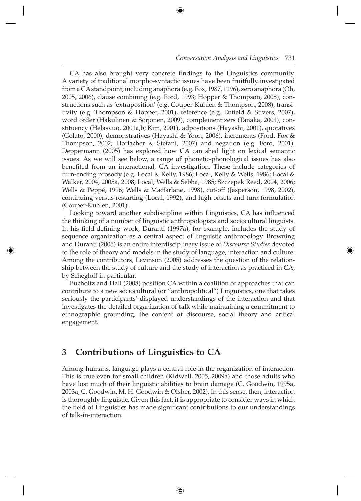CA has also brought very concrete findings to the Linguistics community. A variety of traditional morpho-syntactic issues have been fruitfully investigated from a CA standpoint, including anaphora (e.g. Fox, 1987, 1996 ), zero anaphora (Oh, 2005, 2006), clause combining (e.g. Ford, 1993; Hopper & Thompson, 2008), constructions such as 'extraposition' (e.g. Couper-Kuhlen & Thompson, 2008), transitivity (e.g. Thompson & Hopper, 2001), reference (e.g. Enfield & Stivers, 2007), word order (Hakulinen & Sorjonen, 2009), complementizers (Tanaka, 2001), constituency (Helasvuo, 2001a,b; Kim, 2001), adpositions (Hayashi, 2001), quotatives (Golato, 2000), demonstratives (Hayashi & Yoon, 2006), increments (Ford, Fox & Thompson, 2002; Horlacher & Stefani, 2007) and negation (e.g. Ford, 2001). Deppermann (2005) has explored how CA can shed light on lexical semantic issues. As we will see below, a range of phonetic-phonological issues has also benefited from an interactional, CA investigation. These include categories of turn-ending prosody (e.g. Local & Kelly, 1986; Local, Kelly & Wells, 1986; Local & Walker, 2004, 2005a, 2008; Local, Wells & Sebba, 1985; Szczepek Reed, 2004, 2006; Wells & Peppé, 1996; Wells & Macfarlane, 1998), cut-off (Jasperson, 1998, 2002), continuing versus restarting (Local, 1992 ), and high onsets and turn formulation (Couper-Kuhlen, 2001).

Looking toward another subdiscipline within Linguistics, CA has influenced the thinking of a number of linguistic anthropologists and sociocultural linguists. In his field-defining work, Duranti (1997a), for example, includes the study of sequence organization as a central aspect of linguistic anthropology. Browning and Duranti (2005) is an entire interdisciplinary issue of *Discourse Studies* devoted to the role of theory and models in the study of language, interaction and culture. Among the contributors, Levinson (2005) addresses the question of the relationship between the study of culture and the study of interaction as practiced in CA, by Schegloff in particular.

 Bucholtz and Hall (2008) position CA within a coalition of approaches that can contribute to a new sociocultural (or "anthropolitical") Linguistics, one that takes seriously the participants' displayed understandings of the interaction and that investigates the detailed organization of talk while maintaining a commitment to ethnographic grounding, the content of discourse, social theory and critical engagement.

#### **3 Contributions of Linguistics to CA**

 Among humans, language plays a central role in the organization of interaction. This is true even for small children (Kidwell, 2005, 2009a) and those adults who have lost much of their linguistic abilities to brain damage (C. Goodwin, 1995a, 2003a ; C. Goodwin, M. H. Goodwin & Olsher, 2002 ). In this sense, then, interaction is thoroughly linguistic. Given this fact, it is appropriate to consider ways in which the field of Linguistics has made significant contributions to our understandings of talk-in-interaction.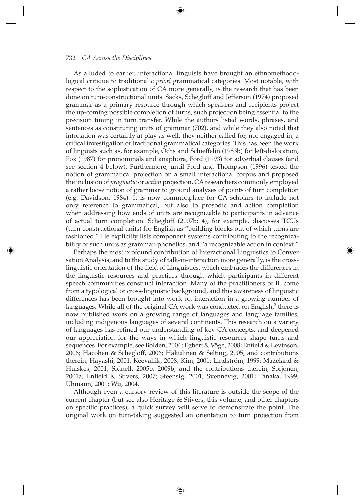As alluded to earlier, interactional linguists have brought an ethnomethodological critique to traditional *a priori* grammatical categories. Most notable, with respect to the sophistication of CA more generally, is the research that has been done on turn-constructional units. Sacks, Schegloff and Jefferson (1974) proposed grammar as a primary resource through which speakers and recipients project the up - coming possible completion of turns, such projection being essential to the precision timing in turn transfer. While the authors listed words, phrases, and sentences as constituting units of grammar (702), and while they also noted that intonation was certainly at play as well, they neither called for, nor engaged in, a critical investigation of traditional grammatical categories. This has been the work of linguists such as, for example, Ochs and Schieffelin (1983b) for left - dislocation, Fox (1987) for pronominals and anaphora, Ford (1993) for adverbial clauses (and see section 4 below). Furthermore, until Ford and Thompson (1996) tested the notion of grammatical projection on a small interactional corpus and proposed the inclusion of *pragmatic* or *action* projection, CA researchers commonly employed a rather loose notion of grammar to ground analyses of points of turn completion (e.g. Davidson, 1984 ). It is now commonplace for CA scholars to include not only reference to grammatical, but also to prosodic and action completion when addressing how ends of units are recognizable to participants in advance of actual turn completion. Schegloff (2007b: 4), for example, discusses TCUs (turn-constructional units) for English as "building blocks out of which turns are fashioned. " He explicitly lists component systems contributing to the recognizability of such units as grammar, phonetics, and "a recognizable action in context."

 Perhaps the most profound contribution of Interactional Linguistics to Conver sation Analysis, and to the study of talk-in-interaction more generally, is the crosslinguistic orientation of the field of Linguistics, which embraces the differences in the linguistic resources and practices through which participants in different speech communities construct interaction. Many of the practitioners of IL come from a typological or cross-linguistic background, and this awareness of linguistic differences has been brought into work on interaction in a growing number of languages. While all of the original CA work was conducted on English, $^2$  there is now published work on a growing range of languages and language families, including indigenous languages of several continents. This research on a variety of languages has refined our understanding of key CA concepts, and deepened our appreciation for the ways in which linguistic resources shape turns and sequences. For example, see Bolden, 2004; Egbert & Vöge, 2008; Enfield & Levinson, 2006; Hacohen & Schegloff, 2006; Hakulinen & Selting, 2005, and contributions therein; Hayashi, 2001; Keevallik, 2008; Kim, 2001; Lindström, 1999; Mazeland & Huiskes, 2001; Sidnell, 2005b, 2009b, and the contributions therein; Sorjonen, 2001a; Enfield & Stivers, 2007; Steensig, 2001; Svennevig, 2001; Tanaka, 1999; Uhmann, 2001; Wu, 2004.

 Although even a cursory review of this literature is outside the scope of the current chapter (but see also Heritage & Stivers, this volume, and other chapters on specific practices), a quick survey will serve to demonstrate the point. The original work on turn-taking suggested an orientation to turn projection from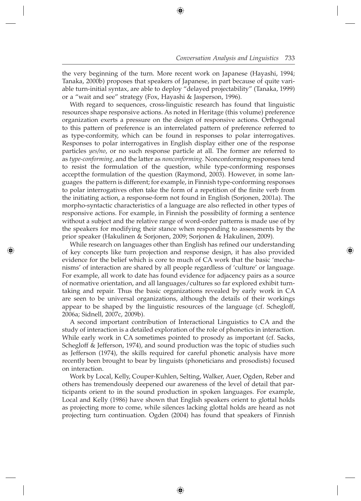the very beginning of the turn. More recent work on Japanese (Hayashi, 1994; Tanaka, 2000b) proposes that speakers of Japanese, in part because of quite variable turn-initial syntax, are able to deploy "delayed projectability" (Tanaka, 1999) or a "wait and see" strategy (Fox, Hayashi & Jasperson, 1996).

With regard to sequences, cross-linguistic research has found that linguistic resources shape responsive actions. As noted in Heritage (this volume) preference organization exerts a pressure on the design of responsive actions. Orthogonal to this pattern of preference is an interrelated pattern of preference referred to as type-conformity, which can be found in responses to polar interrogatives. Responses to polar interrogatives in English display either one of the response particles *yes/no* , or no such response particle at all. The former are referred to as *type - conforming,* and the latter as *nonconforming* . Nonconforming responses tend to resist the formulation of the question, while type-conforming responses accept the formulation of the question (Raymond, 2003). However, in some languages the pattern is different; for example, in Finnish type - conforming responses to polar interrogatives often take the form of a repetition of the finite verb from the initiating action, a response-form not found in English (Sorjonen, 2001a). The morpho-syntactic characteristics of a language are also reflected in other types of responsive actions. For example, in Finnish the possibility of forming a sentence without a subject and the relative range of word-order patterns is made use of by the speakers for modifying their stance when responding to assessments by the prior speaker (Hakulinen & Sorjonen, 2009; Sorjonen & Hakulinen, 2009).

While research on languages other than English has refined our understanding of key concepts like turn projection and response design, it has also provided evidence for the belief which is core to much of CA work that the basic 'mechanisms ' of interaction are shared by all people regardless of ' culture ' or language. For example, all work to date has found evidence for adjacency pairs as a source of normative orientation, and all languages/cultures so far explored exhibit turn taking and repair. Thus the basic organizations revealed by early work in CA are seen to be universal organizations, although the details of their workings appear to be shaped by the linguistic resources of the language (cf. Schegloff, 2006a; Sidnell, 2007c, 2009b).

 A second important contribution of Interactional Linguistics to CA and the study of interaction is a detailed exploration of the role of phonetics in interaction. While early work in CA sometimes pointed to prosody as important (cf. Sacks, Schegloff & Jefferson, 1974), and sound production was the topic of studies such as Jefferson (1974) , the skills required for careful phonetic analysis have more recently been brought to bear by linguists (phoneticians and prosodists) focused on interaction.

Work by Local, Kelly, Couper-Kuhlen, Selting, Walker, Auer, Ogden, Reber and others has tremendously deepened our awareness of the level of detail that participants orient to in the sound production in spoken languages. For example, Local and Kelly (1986) have shown that English speakers orient to glottal holds as projecting more to come, while silences lacking glottal holds are heard as not projecting turn continuation. Ogden (2004) has found that speakers of Finnish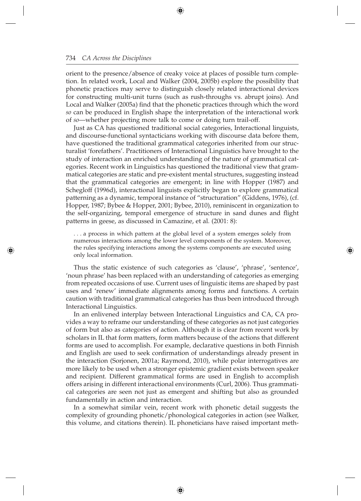orient to the presence/absence of creaky voice at places of possible turn completion. In related work, Local and Walker (2004, 2005b) explore the possibility that phonetic practices may serve to distinguish closely related interactional devices for constructing multi-unit turns (such as rush-throughs vs. abrupt joins). And Local and Walker (2005a) find that the phonetic practices through which the word *so* can be produced in English shape the interpretation of the interactional work of *so*—whether projecting more talk to come or doing turn trail-off.

 Just as CA has questioned traditional social categories, Interactional linguists, and discourse-functional syntacticians working with discourse data before them, have questioned the traditional grammatical categories inherited from our structuralist 'forefathers'. Practitioners of Interactional Linguistics have brought to the study of interaction an enriched understanding of the nature of grammatical categories. Recent work in Linguistics has questioned the traditional view that grammatical categories are static and pre-existent mental structures, suggesting instead that the grammatical categories are emergent; in line with Hopper (1987) and Schegloff (1996d) , interactional linguists explicitly began to explore grammatical patterning as a dynamic, temporal instance of "structuration" (Giddens, 1976), (cf. Hopper, 1987; Bybee & Hopper, 2001; Bybee, 2010), reminiscent in organization to the self-organizing, temporal emergence of structure in sand dunes and flight patterns in geese, as discussed in Camazine, et al. (2001: 8):

 . . . a process in which pattern at the global level of a system emerges solely from numerous interactions among the lower level components of the system. Moreover, the rules specifying interactions among the systems components are executed using only local information.

Thus the static existence of such categories as 'clause', 'phrase', 'sentence', 'noun phrase' has been replaced with an understanding of categories as emerging from repeated occasions of use. Current uses of linguistic items are shaped by past uses and 'renew' immediate alignments among forms and functions. A certain caution with traditional grammatical categories has thus been introduced through Interactional Linguistics.

 In an enlivened interplay between Interactional Linguistics and CA, CA provides a way to reframe our understanding of these categories as not just categories of form but also as categories of action. Although it is clear from recent work by scholars in IL that form matters, form matters because of the actions that different forms are used to accomplish. For example, declarative questions in both Finnish and English are used to seek confirmation of understandings already present in the interaction (Sorjonen, 2001a; Raymond, 2010), while polar interrogatives are more likely to be used when a stronger epistemic gradient exists between speaker and recipient. Different grammatical forms are used in English to accomplish offers arising in different interactional environments (Curl, 2006). Thus grammatical categories are seen not just as emergent and shifting but also as grounded fundamentally in action and interaction.

 In a somewhat similar vein, recent work with phonetic detail suggests the complexity of grounding phonetic/phonological categories in action (see Walker, this volume, and citations therein). IL phoneticians have raised important meth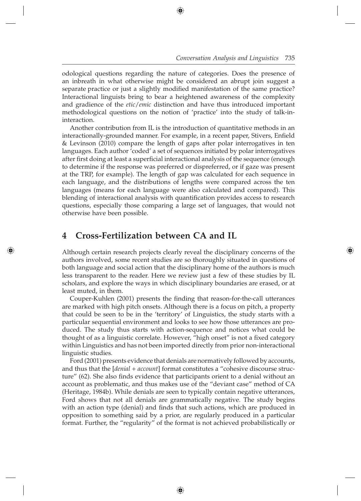odological questions regarding the nature of categories. Does the presence of an inbreath in what otherwise might be considered an abrupt join suggest a separate practice or just a slightly modified manifestation of the same practice? Interactional linguists bring to bear a heightened awareness of the complexity and gradience of the *etic*/*emic* distinction and have thus introduced important methodological questions on the notion of 'practice' into the study of talk-ininteraction.

 Another contribution from IL is the introduction of quantitative methods in an interactionally-grounded manner. For example, in a recent paper, Stivers, Enfield & Levinson (2010) compare the length of gaps after polar interrogatives in ten languages. Each author 'coded' a set of sequences initiated by polar interrogatives after first doing at least a superficial interactional analysis of the sequence (enough to determine if the response was preferred or dispreferred, or if gaze was present at the TRP, for example). The length of gap was calculated for each sequence in each language, and the distributions of lengths were compared across the ten languages (means for each language were also calculated and compared). This blending of interactional analysis with quantification provides access to research questions, especially those comparing a large set of languages, that would not otherwise have been possible.

#### **4 Cross - Fertilization between CA and IL**

 Although certain research projects clearly reveal the disciplinary concerns of the authors involved, some recent studies are so thoroughly situated in questions of both language and social action that the disciplinary home of the authors is much less transparent to the reader. Here we review just a few of these studies by IL scholars, and explore the ways in which disciplinary boundaries are erased, or at least muted, in them.

Couper-Kuhlen (2001) presents the finding that reason-for-the-call utterances are marked with high pitch onsets. Although there is a focus on pitch, a property that could be seen to be in the 'territory' of Linguistics, the study starts with a particular sequential environment and looks to see how those utterances are produced. The study thus starts with action-sequence and notices what could be thought of as a linguistic correlate. However, "high onset" is not a fixed category within Linguistics and has not been imported directly from prior non-interactional linguistic studies.

 Ford (2001) presents evidence that denials are normatively followed by accounts, and thus that the  $[denial + account]$  format constitutes a "cohesive discourse structure" (62). She also finds evidence that participants orient to a denial without an account as problematic, and thus makes use of the "deviant case" method of CA (Heritage, 1984b). While denials are seen to typically contain negative utterances, Ford shows that not all denials are grammatically negative. The study begins with an action type (denial) and finds that such actions, which are produced in opposition to something said by a prior, are regularly produced in a particular format. Further, the "regularity" of the format is not achieved probabilistically or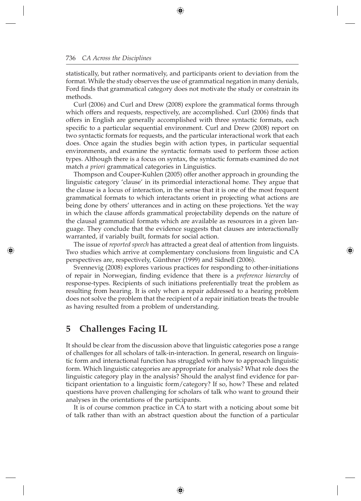statistically, but rather normatively, and participants orient to deviation from the format. While the study observes the use of grammatical negation in many denials, Ford finds that grammatical category does not motivate the study or constrain its methods.

 Curl (2006) and Curl and Drew (2008) explore the grammatical forms through which offers and requests, respectively, are accomplished. Curl (2006) finds that offers in English are generally accomplished with three syntactic formats, each specific to a particular sequential environment. Curl and Drew (2008) report on two syntactic formats for requests, and the particular interactional work that each does. Once again the studies begin with action types, in particular sequential environments, and examine the syntactic formats used to perform those action types. Although there is a focus on syntax, the syntactic formats examined do not match *a priori* grammatical categories in Linguistics.

Thompson and Couper-Kuhlen (2005) offer another approach in grounding the linguistic category 'clause' in its primordial interactional home. They argue that the clause is a locus of interaction, in the sense that it is one of the most frequent grammatical formats to which interactants orient in projecting what actions are being done by others' utterances and in acting on these projections. Yet the way in which the clause affords grammatical projectability depends on the nature of the clausal grammatical formats which are available as resources in a given language. They conclude that the evidence suggests that clauses are interactionally warranted, if variably built, formats for social action.

 The issue of *reported speech* has attracted a great deal of attention from linguists. Two studies which arrive at complementary conclusions from linguistic and CA perspectives are, respectively, Günthner (1999) and Sidnell (2006).

Svennevig (2008) explores various practices for responding to other-initiations of repair in Norwegian, finding evidence that there is a *preference hierarchy* of response-types. Recipients of such initiations preferentially treat the problem as resulting from hearing. It is only when a repair addressed to a hearing problem does not solve the problem that the recipient of a repair initiation treats the trouble as having resulted from a problem of understanding.

#### **5 Challenges Facing IL**

 It should be clear from the discussion above that linguistic categories pose a range of challenges for all scholars of talk-in-interaction. In general, research on linguistic form and interactional function has struggled with how to approach linguistic form. Which linguistic categories are appropriate for analysis? What role does the linguistic category play in the analysis? Should the analyst find evidence for participant orientation to a linguistic form/category? If so, how? These and related questions have proven challenging for scholars of talk who want to ground their analyses in the orientations of the participants.

 It is of course common practice in CA to start with a noticing about some bit of talk rather than with an abstract question about the function of a particular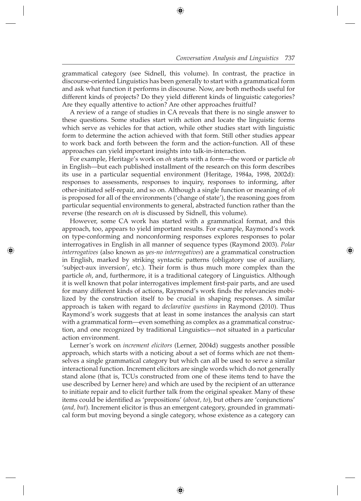grammatical category (see Sidnell, this volume). In contrast, the practice in discourse-oriented Linguistics has been generally to start with a grammatical form and ask what function it performs in discourse. Now, are both methods useful for different kinds of projects? Do they yield different kinds of linguistic categories? Are they equally attentive to action? Are other approaches fruitful?

 A review of a range of studies in CA reveals that there is no single answer to these questions. Some studies start with action and locate the linguistic forms which serve as vehicles for that action, while other studies start with linguistic form to determine the action achieved with that form. Still other studies appear to work back and forth between the form and the action-function. All of these approaches can yield important insights into talk-in-interaction.

For example, Heritage's work on *oh* starts with a form—the word or particle *oh* in English — but each published installment of the research on this form describes its use in a particular sequential environment (Heritage, 1984a, 1998, 2002d): responses to assessments, responses to inquiry, responses to informing, after other - initiated self - repair, and so on. Although a single function or meaning of *oh* is proposed for all of the environments ('change of state'), the reasoning goes from particular sequential environments to general, abstracted function rather than the reverse (the research on *oh* is discussed by Sidnell, this volume).

 However, some CA work has started with a grammatical format, and this approach, too, appears to yield important results. For example, Raymond's work on type - conforming and nonconforming responses explores responses to polar interrogatives in English in all manner of sequence types (Raymond 2003). *Polar interrogatives* (also known as *yes-no interrogatives*) are a grammatical construction in English, marked by striking syntactic patterns (obligatory use of auxiliary, 'subject-aux inversion', etc.). Their form is thus much more complex than the particle  $oh$ , and, furthermore, it is a traditional category of Linguistics. Although it is well known that polar interrogatives implement first-pair parts, and are used for many different kinds of actions, Raymond's work finds the relevancies mobilized by the construction itself to be crucial in shaping responses. A similar approach is taken with regard to *declarative questions* in Raymond (2010). Thus Raymond's work suggests that at least in some instances the analysis can start with a grammatical form—even something as complex as a grammatical construction, and one recognized by traditional Linguistics — not situated in a particular action environment.

Lerner's work on *increment elicitors* (Lerner, 2004d) suggests another possible approach, which starts with a noticing about a set of forms which are not themselves a single grammatical category but which can all be used to serve a similar interactional function. Increment elicitors are single words which do not generally stand alone (that is, TCUs constructed from one of these items tend to have the use described by Lerner here) and which are used by the recipient of an utterance to initiate repair and to elicit further talk from the original speaker. Many of these items could be identified as 'prepositions' (*about*, *to*), but others are 'conjunctions' (*and, but* ). Increment elicitor is thus an emergent category, grounded in grammatical form but moving beyond a single category, whose existence as a category can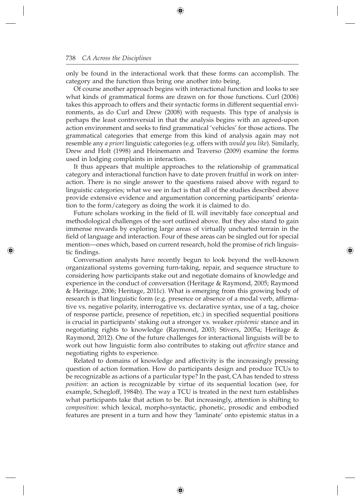only be found in the interactional work that these forms can accomplish. The category and the function thus bring one another into being.

Of course another approach begins with interactional function and looks to see what kinds of grammatical forms are drawn on for those functions. Curl (2006) takes this approach to offers and their syntactic forms in different sequential environments, as do Curl and Drew (2008) with requests. This type of analysis is perhaps the least controversial in that the analysis begins with an agreed - upon action environment and seeks to find grammatical 'vehicles' for those actions. The grammatical categories that emerge from this kind of analysis again may not resemble any *a priori* linguistic categories (e.g. offers with *would you like* ). Similarly, Drew and Holt (1998) and Heinemann and Traverso (2009) examine the forms used in lodging complaints in interaction.

 It thus appears that multiple approaches to the relationship of grammatical category and interactional function have to date proven fruitful in work on interaction. There is no single answer to the questions raised above with regard to linguistic categories; what we see in fact is that all of the studies described above provide extensive evidence and argumentation concerning participants ' orientation to the form/category as doing the work it is claimed to do.

Future scholars working in the field of IL will inevitably face conceptual and methodological challenges of the sort outlined above. But they also stand to gain immense rewards by exploring large areas of virtually uncharted terrain in the field of language and interaction. Four of these areas can be singled out for special mention—ones which, based on current research, hold the promise of rich linguistic findings.

Conversation analysts have recently begun to look beyond the well-known organizational systems governing turn - taking, repair, and sequence structure to considering how participants stake out and negotiate domains of knowledge and experience in the conduct of conversation (Heritage & Raymond, 2005; Raymond & Heritage, 2006 ; Heritage, 2011c ). What is emerging from this growing body of research is that linguistic form (e.g. presence or absence of a modal verb, affirmative vs. negative polarity, interrogative vs. declarative syntax, use of a tag, choice of response particle, presence of repetition, etc.) in specified sequential positions is crucial in participants' staking out a stronger vs. weaker *epistemic* stance and in negotiating rights to knowledge (Raymond, 2003; Stivers, 2005a; Heritage & Raymond, 2012 ). One of the future challenges for interactional linguists will be to work out how linguistic form also contributes to staking out *affective* stance and negotiating rights to experience.

 Related to domains of knowledge and affectivity is the increasingly pressing question of action formation. How do participants design and produce TCUs to be recognizable as actions of a particular type? In the past, CA has tended to stress *position*: an action is recognizable by virtue of its sequential location (see, for example, Schegloff, 1984b). The way a TCU is treated in the next turn establishes what participants take that action to be. But increasingly, attention is shifting to *composition*: which lexical, morpho-syntactic, phonetic, prosodic and embodied features are present in a turn and how they 'laminate' onto epistemic status in a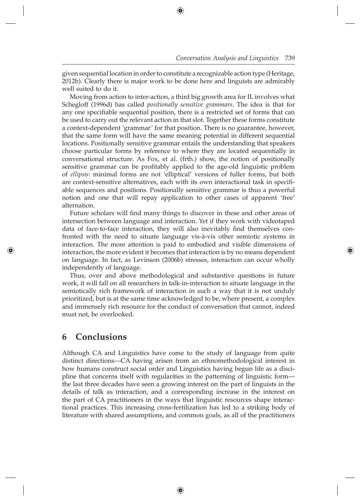given sequential location in order to constitute a recognizable action type (Heritage, 2012b). Clearly there is major work to be done here and linguists are admirably well suited to do it.

Moving from action to inter-action, a third big growth area for IL involves what Schegloff (1996d) has called *positionally sensitive grammars* . The idea is that for any one specifiable sequential position, there is a restricted set of forms that can be used to carry out the relevant action in that slot. Together these forms constitute a context-dependent 'grammar' for that position. There is no guarantee, however, that the same form will have the same meaning potential in different sequential locations. Positionally sensitive grammar entails the understanding that speakers choose particular forms by reference to where they are located sequentially in conversational structure. As Fox, et al. (frth.) show, the notion of positionally sensitive grammar can be profitably applied to the age-old linguistic problem of *ellipsis*: minimal forms are not 'elliptical' versions of fuller forms, but both are context-sensitive alternatives, each with its own interactional task in specifiable sequences and positions. Positionally sensitive grammar is thus a powerful notion and one that will repay application to other cases of apparent 'free' alternation.

Future scholars will find many things to discover in these and other areas of intersection between language and interaction. Yet if they work with videotaped data of face-to-face interaction, they will also inevitably find themselves confronted with the need to situate language vis-à-vis other semiotic systems in interaction. The more attention is paid to embodied and visible dimensions of interaction, the more evident it becomes that interaction is by no means dependent on language. In fact, as Levinson (2006b) stresses, interaction can occur wholly independently of language.

 Thus, over and above methodological and substantive questions in future work, it will fall on all researchers in talk-in-interaction to situate language in the semiotically rich framework of interaction in such a way that it is not unduly prioritized, but is at the same time acknowledged to be, where present, a complex and immensely rich resource for the conduct of conversation that cannot, indeed must not, be overlooked.

## **6 Conclusions**

 Although CA and Linguistics have come to the study of language from quite distinct directions — CA having arisen from an ethnomethodological interest in how humans construct social order and Linguistics having begun life as a discipline that concerns itself with regularities in the patterning of linguistic form the last three decades have seen a growing interest on the part of linguists in the details of talk as interaction, and a corresponding increase in the interest on the part of CA practitioners in the ways that linguistic resources shape interactional practices. This increasing cross - fertilization has led to a striking body of literature with shared assumptions, and common goals, as all of the practitioners